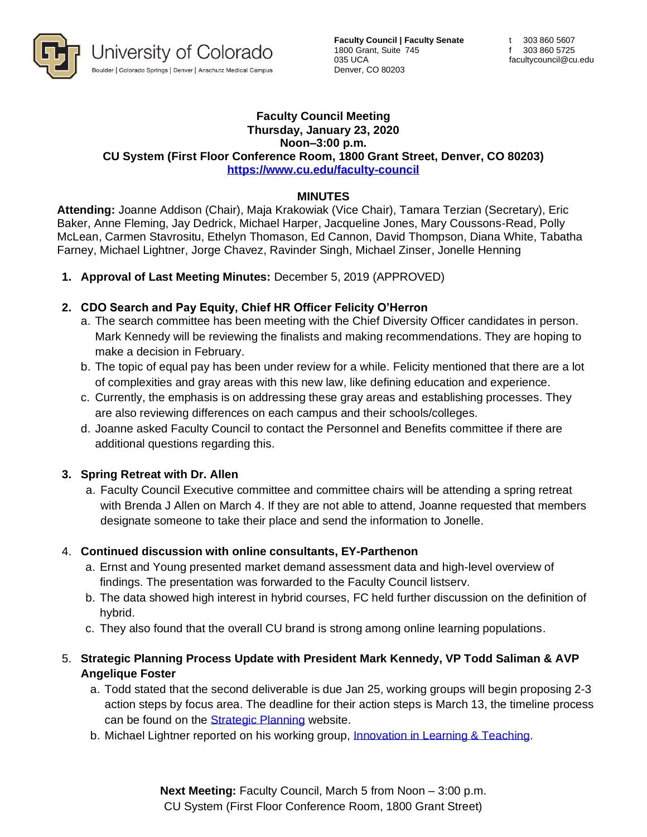

**Faculty Council | Faculty Senate** 1800 Grant, Suite 745 035 UCA Denver, CO 80203

#### **Faculty Council Meeting Thursday, January 23, 2020 Noon–3:00 p.m. CU System (First Floor Conference Room, 1800 Grant Street, Denver, CO 80203) <https://www.cu.edu/faculty-council>**

### **MINUTES**

**Attending:** Joanne Addison (Chair), Maja Krakowiak (Vice Chair), Tamara Terzian (Secretary), Eric Baker, Anne Fleming, Jay Dedrick, Michael Harper, Jacqueline Jones, Mary Coussons-Read, Polly McLean, Carmen Stavrositu, Ethelyn Thomason, Ed Cannon, David Thompson, Diana White, Tabatha Farney, Michael Lightner, Jorge Chavez, Ravinder Singh, Michael Zinser, Jonelle Henning

**1. Approval of Last Meeting Minutes:** December 5, 2019 (APPROVED)

### **2. CDO Search and Pay Equity, Chief HR Officer Felicity O'Herron**

- a. The search committee has been meeting with the Chief Diversity Officer candidates in person. Mark Kennedy will be reviewing the finalists and making recommendations. They are hoping to make a decision in February.
- b. The topic of equal pay has been under review for a while. Felicity mentioned that there are a lot of complexities and gray areas with this new law, like defining education and experience.
- c. Currently, the emphasis is on addressing these gray areas and establishing processes. They are also reviewing differences on each campus and their schools/colleges.
- d. Joanne asked Faculty Council to contact the Personnel and Benefits committee if there are additional questions regarding this.

#### **3. Spring Retreat with Dr. Allen**

a. Faculty Council Executive committee and committee chairs will be attending a spring retreat with Brenda J Allen on March 4. If they are not able to attend, Joanne requested that members designate someone to take their place and send the information to Jonelle.

## 4. **Continued discussion with online consultants, EY-Parthenon**

- a. Ernst and Young presented market demand assessment data and high-level overview of findings. The presentation was forwarded to the Faculty Council listserv.
- b. The data showed high interest in hybrid courses, FC held further discussion on the definition of hybrid.
- c. They also found that the overall CU brand is strong among online learning populations.

## 5. **Strategic Planning Process Update with President Mark Kennedy, VP Todd Saliman & AVP Angelique Foster**

- a. Todd stated that the second deliverable is due Jan 25, working groups will begin proposing 2-3 action steps by focus area. The deadline for their action steps is March 13, the timeline process can be found on the **Strategic Planning** website.
- b. Michael Lightner reported on his working group, [Innovation in Learning & Teaching.](https://www.cu.edu/strategic-planning/innovation-learning-and-teaching)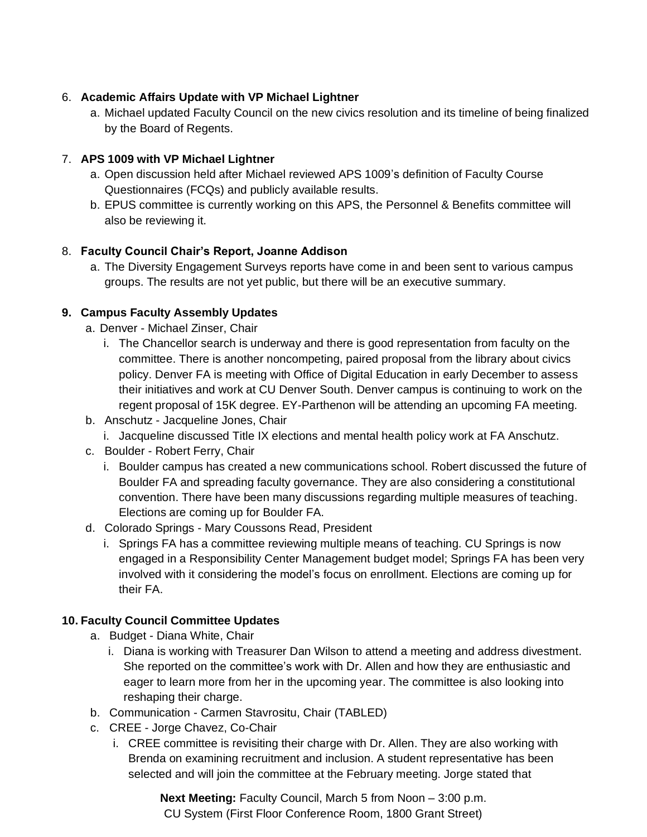## 6. **Academic Affairs Update with VP Michael Lightner**

a. Michael updated Faculty Council on the new civics resolution and its timeline of being finalized by the Board of Regents.

# 7. **APS 1009 with VP Michael Lightner**

- a. Open discussion held after Michael reviewed APS 1009's definition of Faculty Course Questionnaires (FCQs) and publicly available results.
- b. EPUS committee is currently working on this APS, the Personnel & Benefits committee will also be reviewing it.

# 8. **Faculty Council Chair's Report, Joanne Addison**

a. The Diversity Engagement Surveys reports have come in and been sent to various campus groups. The results are not yet public, but there will be an executive summary.

## **9. Campus Faculty Assembly Updates**

- a. Denver Michael Zinser, Chair
	- i. The Chancellor search is underway and there is good representation from faculty on the committee. There is another noncompeting, paired proposal from the library about civics policy. Denver FA is meeting with Office of Digital Education in early December to assess their initiatives and work at CU Denver South. Denver campus is continuing to work on the regent proposal of 15K degree. EY-Parthenon will be attending an upcoming FA meeting.
- b. Anschutz Jacqueline Jones, Chair
	- i. Jacqueline discussed Title IX elections and mental health policy work at FA Anschutz.
- c. Boulder Robert Ferry, Chair
	- i. Boulder campus has created a new communications school. Robert discussed the future of Boulder FA and spreading faculty governance. They are also considering a constitutional convention. There have been many discussions regarding multiple measures of teaching. Elections are coming up for Boulder FA.
- d. Colorado Springs Mary Coussons Read, President
	- i. Springs FA has a committee reviewing multiple means of teaching. CU Springs is now engaged in a Responsibility Center Management budget model; Springs FA has been very involved with it considering the model's focus on enrollment. Elections are coming up for their FA.

## **10. Faculty Council Committee Updates**

- a. Budget Diana White, Chair
	- i. Diana is working with Treasurer Dan Wilson to attend a meeting and address divestment. She reported on the committee's work with Dr. Allen and how they are enthusiastic and eager to learn more from her in the upcoming year. The committee is also looking into reshaping their charge.
- b. Communication Carmen Stavrositu, Chair (TABLED)
- c. CREE Jorge Chavez, Co-Chair
	- i. CREE committee is revisiting their charge with Dr. Allen. They are also working with Brenda on examining recruitment and inclusion. A student representative has been selected and will join the committee at the February meeting. Jorge stated that

**Next Meeting:** Faculty Council, March 5 from Noon – 3:00 p.m. CU System (First Floor Conference Room, 1800 Grant Street)